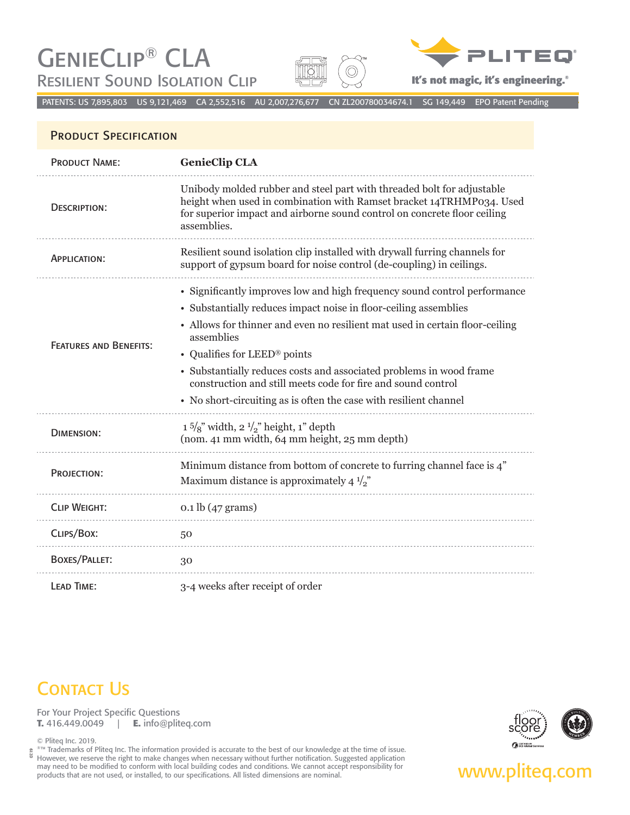# GenieClip® CLA **RESILIENT SOUND ISOLATION CLIP**





**It's not magic, it's engineering.**®

PATENTS: US 7,895,803 US 9,121,469 CA 2,552,516 AU 2,007,276,677 CN ZL200780034674.1 SG 149,449 EPO Patent Pending

### PRODUCT SPECIFICATION

| <b>PRODUCT NAME:</b>          | <b>GenieClip CLA</b>                                                                                                                                                                                                                                                                                                                                                                                                                                                                    |
|-------------------------------|-----------------------------------------------------------------------------------------------------------------------------------------------------------------------------------------------------------------------------------------------------------------------------------------------------------------------------------------------------------------------------------------------------------------------------------------------------------------------------------------|
| <b>DESCRIPTION:</b>           | Unibody molded rubber and steel part with threaded bolt for adjustable<br>height when used in combination with Ramset bracket 14TRHMP034. Used<br>for superior impact and airborne sound control on concrete floor ceiling<br>assemblies.                                                                                                                                                                                                                                               |
| <b>APPLICATION:</b>           | Resilient sound isolation clip installed with drywall furring channels for<br>support of gypsum board for noise control (de-coupling) in ceilings.                                                                                                                                                                                                                                                                                                                                      |
| <b>FEATURES AND BENEFITS:</b> | • Significantly improves low and high frequency sound control performance<br>• Substantially reduces impact noise in floor-ceiling assemblies<br>• Allows for thinner and even no resilient mat used in certain floor-ceiling<br>assemblies<br>• Qualifies for LEED® points<br>• Substantially reduces costs and associated problems in wood frame<br>construction and still meets code for fire and sound control<br>• No short-circuiting as is often the case with resilient channel |
| <b>DIMENSION:</b>             | $1\frac{5}{8}$ " width, $2\frac{1}{2}$ " height, 1" depth<br>(nom. 41 mm width, 64 mm height, 25 mm depth)                                                                                                                                                                                                                                                                                                                                                                              |
| PROJECTION:                   | Minimum distance from bottom of concrete to furring channel face is 4"<br>Maximum distance is approximately 4 $\frac{1}{2}$                                                                                                                                                                                                                                                                                                                                                             |
| <b>CLIP WEIGHT:</b>           | $0.1$ lb $(47$ grams)                                                                                                                                                                                                                                                                                                                                                                                                                                                                   |
| CLIPS/BOX:                    | 50                                                                                                                                                                                                                                                                                                                                                                                                                                                                                      |
| <b>BOXES/PALLET:</b>          | 30                                                                                                                                                                                                                                                                                                                                                                                                                                                                                      |
| LEAD TIME:                    | 3-4 weeks after receipt of order                                                                                                                                                                                                                                                                                                                                                                                                                                                        |

## **CONTACT US**

For Your Project Specific Questions **T.** 416.449.0049 | **E.** info@pliteq.com

© Pliteq Inc. 2019.<br><sup>®™</sup> Trademarks of Pliteq Inc. The information provided is accurate to the best of our knowledge at the time of issue. ®™ Trademarks of Pliteq Inc. The information provided is accurate to the best of our knowledge at the time of issue. However, we reserve the right to make changes when necessary without further notification. Suggested application may need to be modified to conform with local building codes and conditions. We cannot accept responsibility for **www.plitedum COM** 07.19